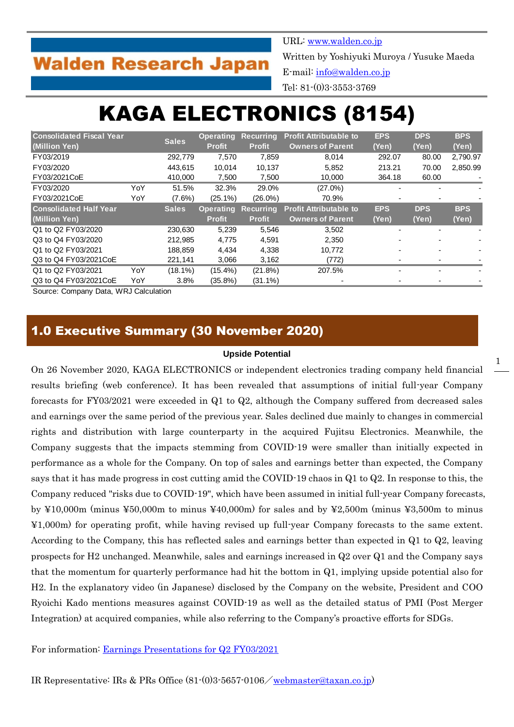## **Walden Research Japan**

URL: [www.walden.co.jp](http://www.walden.co.jp/)

Written by Yoshiyuki Muroya / Yusuke Maeda

E-mail: [info@walden.co.jp](mailto:info@walden.co.jp)

Tel: 81-(0)3-3553-3769

# KAGA ELECTRONICS (8154)

| <b>Consolidated Fiscal Year</b> |     | <b>Sales</b> | <b>Operating</b> | <b>Recurring</b> | <b>Profit Attributable to</b> | <b>EPS</b> | <b>DPS</b>     | <b>BPS</b> |
|---------------------------------|-----|--------------|------------------|------------------|-------------------------------|------------|----------------|------------|
| (Million Yen)                   |     |              | <b>Profit</b>    | <b>Profit</b>    | <b>Owners of Parent</b>       | (Yen)      | (Yen)          | (Yen)      |
| FY03/2019                       |     | 292,779      | 7,570            | 7,859            | 8.014                         | 292.07     | 80.00          | 2,790.97   |
| FY03/2020                       |     | 443.615      | 10.014           | 10.137           | 5,852                         | 213.21     | 70.00          | 2,850.99   |
| FY03/2021CoE                    |     | 410,000      | 7,500            | 7,500            | 10,000                        | 364.18     | 60.00          |            |
| FY03/2020                       | YoY | 51.5%        | 32.3%            | 29.0%            | $(27.0\%)$                    |            |                |            |
| FY03/2021CoE                    | YoY | $(7.6\%)$    | $(25.1\%)$       | $(26.0\%)$       | 70.9%                         |            | $\blacksquare$ |            |
| <b>Consolidated Half Year</b>   |     | <b>Sales</b> | <b>Operating</b> | <b>Recurring</b> | <b>Profit Attributable to</b> | <b>EPS</b> | <b>DPS</b>     | <b>BPS</b> |
| (Million Yen)                   |     |              | <b>Profit</b>    | <b>Profit</b>    | <b>Owners of Parent</b>       | (Yen)      | (Yen)          | (Yen)      |
| Q1 to Q2 FY03/2020              |     | 230,630      | 5,239            | 5,546            | 3.502                         |            | -              |            |
| Q3 to Q4 FY03/2020              |     | 212.985      | 4.775            | 4.591            | 2.350                         |            | $\blacksquare$ |            |
| Q1 to Q2 FY03/2021              |     | 188,859      | 4,434            | 4,338            | 10,772                        |            |                |            |
| Q3 to Q4 FY03/2021CoE           |     | 221,141      | 3,066            | 3,162            | (772)                         |            |                |            |
| Q1 to Q2 FY03/2021              | YoY | $(18.1\%)$   | $(15.4\%)$       | (21.8%)          | 207.5%                        |            |                |            |
| Q3 to Q4 FY03/2021CoE           | YoY | 3.8%         | $(35.8\%)$       | $(31.1\%)$       |                               |            |                |            |

Source: Company Data, WRJ Calculation

## 1.0 Executive Summary (30 November 2020)

#### **Upside Potential**

On 26 November 2020, KAGA ELECTRONICS or independent electronics trading company held financial results briefing (web conference). It has been revealed that assumptions of initial full-year Company forecasts for FY03/2021 were exceeded in Q1 to Q2, although the Company suffered from decreased sales and earnings over the same period of the previous year. Sales declined due mainly to changes in commercial rights and distribution with large counterparty in the acquired Fujitsu Electronics. Meanwhile, the Company suggests that the impacts stemming from COVID-19 were smaller than initially expected in performance as a whole for the Company. On top of sales and earnings better than expected, the Company says that it has made progress in cost cutting amid the COVID-19 chaos in Q1 to Q2. In response to this, the Company reduced "risks due to COVID-19", which have been assumed in initial full-year Company forecasts, by  $\yen10,000$ m (minus  $\yen50,000$ m to minus  $\yen40,000$ m) for sales and by  $\yen2,500$ m (minus  $\yen3,500$ m to minus ¥1,000m) for operating profit, while having revised up full-year Company forecasts to the same extent. According to the Company, this has reflected sales and earnings better than expected in Q1 to Q2, leaving prospects for H2 unchanged. Meanwhile, sales and earnings increased in Q2 over Q1 and the Company says that the momentum for quarterly performance had hit the bottom in Q1, implying upside potential also for H2. In the explanatory video (in Japanese) disclosed by the Company on the website, President and COO Ryoichi Kado mentions measures against COVID-19 as well as the detailed status of PMI (Post Merger Integration) at acquired companies, while also referring to the Company's proactive efforts for SDGs.

For information: [Earnings Presentations for Q2 FY03/2021](https://www.taxan.co.jp/en/ir/event/event_01.html)

IR Representative: IRs & PRs Office  $(81)(0)356570106$ /[webmaster@taxan.co.jp\)](mailto:webmaster@taxan.co.jp)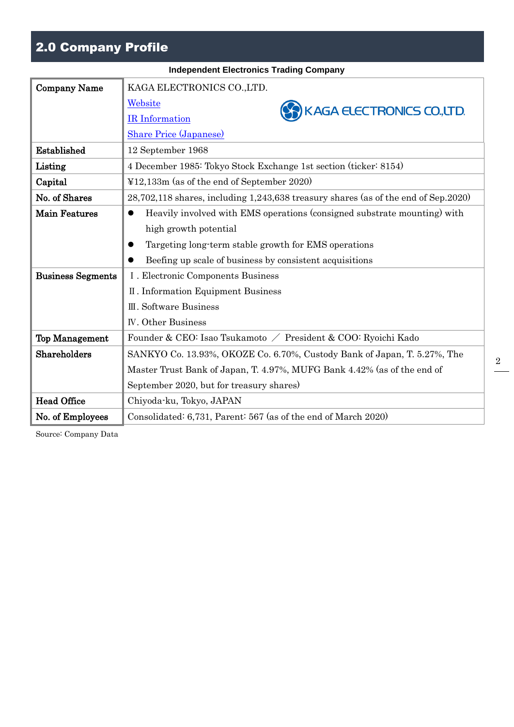## 2.0 Company Profile

|                          | <b>Independent Electronics Trading Company</b>                                        |
|--------------------------|---------------------------------------------------------------------------------------|
| <b>Company Name</b>      | KAGA ELECTRONICS CO., LTD.                                                            |
|                          | Website<br>KAGA ELECTRONICS CO., LTD.                                                 |
|                          | <b>IR</b> Information                                                                 |
|                          | <b>Share Price (Japanese)</b>                                                         |
| Established              | 12 September 1968                                                                     |
| Listing                  | 4 December 1985: Tokyo Stock Exchange 1st section (ticker: 8154)                      |
| Capital                  | ¥12,133m (as of the end of September 2020)                                            |
| No. of Shares            | 28,702,118 shares, including 1,243,638 treasury shares (as of the end of Sep.2020)    |
| <b>Main Features</b>     | Heavily involved with EMS operations (consigned substrate mounting) with<br>$\bullet$ |
|                          | high growth potential                                                                 |
|                          | Targeting long-term stable growth for EMS operations                                  |
|                          | Beefing up scale of business by consistent acquisitions                               |
| <b>Business Segments</b> | I. Electronic Components Business                                                     |
|                          | II. Information Equipment Business                                                    |
|                          | III. Software Business                                                                |
|                          | <b>IV.</b> Other Business                                                             |
| <b>Top Management</b>    | Founder & CEO: Isao Tsukamoto / President & COO: Ryoichi Kado                         |
| Shareholders             | SANKYO Co. 13.93%, OKOZE Co. 6.70%, Custody Bank of Japan, T. 5.27%, The              |
|                          | Master Trust Bank of Japan, T. 4.97%, MUFG Bank 4.42% (as of the end of               |
|                          | September 2020, but for treasury shares)                                              |
| <b>Head Office</b>       | Chiyoda-ku, Tokyo, JAPAN                                                              |
| No. of Employees         | Consolidated: 6,731, Parent: 567 (as of the end of March 2020)                        |

Source: Company Data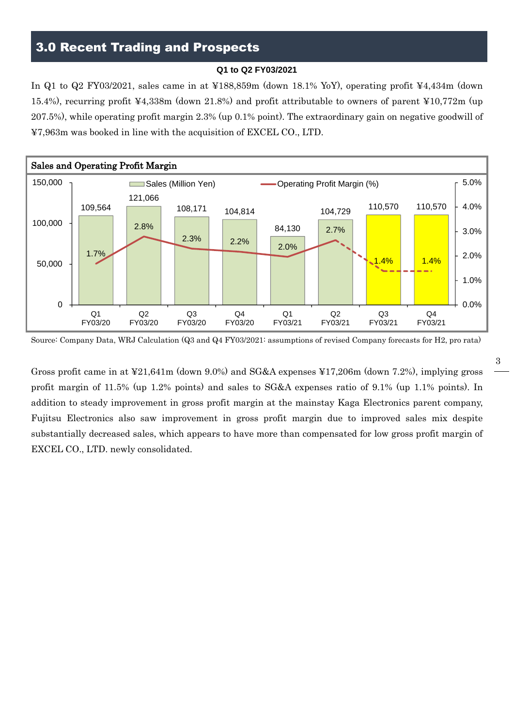## 3.0 Recent Trading and Prospects

#### **Q1 to Q2 FY03/2021**

In Q1 to Q2 FY03/2021, sales came in at ¥188,859m (down 18.1% YoY), operating profit ¥4,434m (down 15.4%), recurring profit ¥4,338m (down 21.8%) and profit attributable to owners of parent ¥10,772m (up 207.5%), while operating profit margin 2.3% (up 0.1% point). The extraordinary gain on negative goodwill of ¥7,963m was booked in line with the acquisition of EXCEL CO., LTD.



Source: Company Data, WRJ Calculation (Q3 and Q4 FY03/2021: assumptions of revised Company forecasts for H2, pro rata)

Gross profit came in at ¥21,641m (down 9.0%) and SG&A expenses ¥17,206m (down 7.2%), implying gross profit margin of 11.5% (up 1.2% points) and sales to SG&A expenses ratio of 9.1% (up 1.1% points). In addition to steady improvement in gross profit margin at the mainstay Kaga Electronics parent company, Fujitsu Electronics also saw improvement in gross profit margin due to improved sales mix despite substantially decreased sales, which appears to have more than compensated for low gross profit margin of EXCEL CO., LTD. newly consolidated.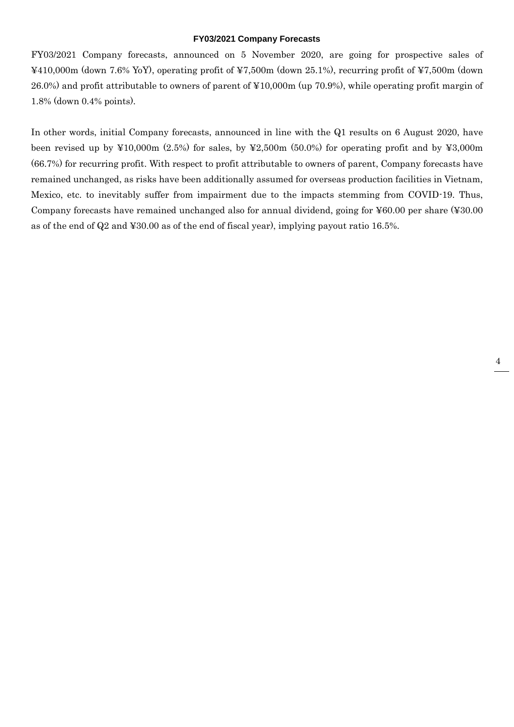#### **FY03/2021 Company Forecasts**

FY03/2021 Company forecasts, announced on 5 November 2020, are going for prospective sales of ¥410,000m (down 7.6% YoY), operating profit of ¥7,500m (down 25.1%), recurring profit of ¥7,500m (down 26.0%) and profit attributable to owners of parent of ¥10,000m (up 70.9%), while operating profit margin of 1.8% (down 0.4% points).

In other words, initial Company forecasts, announced in line with the Q1 results on 6 August 2020, have been revised up by  $\text{\textsterling}10,000\text{m}$  (2.5%) for sales, by  $\text{\textsterling}2,500\text{m}$  (50.0%) for operating profit and by  $\text{\textsterling}3,000\text{m}$ (66.7%) for recurring profit. With respect to profit attributable to owners of parent, Company forecasts have remained unchanged, as risks have been additionally assumed for overseas production facilities in Vietnam, Mexico, etc. to inevitably suffer from impairment due to the impacts stemming from COVID-19. Thus, Company forecasts have remained unchanged also for annual dividend, going for ¥60.00 per share (¥30.00 as of the end of Q2 and ¥30.00 as of the end of fiscal year), implying payout ratio 16.5%.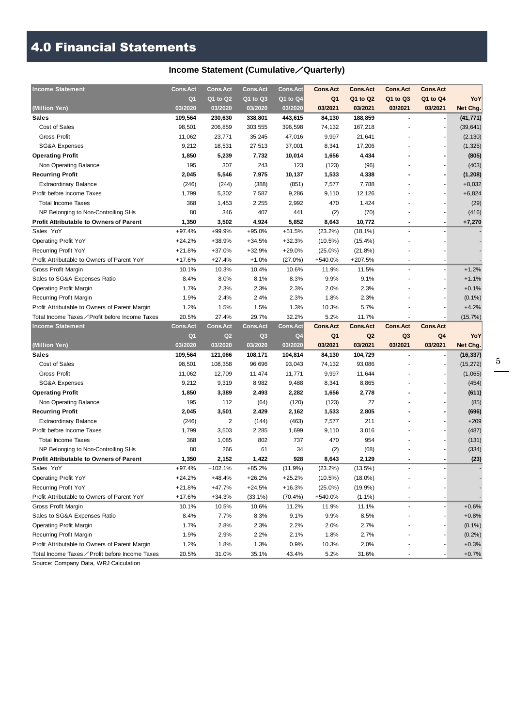## 4.0 Financial Statements

## **Income Statement (Cumulative**/**Quarterly)**

| <b>Income Statement</b>                        | <b>Cons.Act</b> | <b>Cons.Act</b> | <b>Cons.Act</b> | <b>Cons.Act</b> | <b>Cons.Act</b> | <b>Cons.Act</b> | <b>Cons.Act</b> | <b>Cons.Act</b> |           |
|------------------------------------------------|-----------------|-----------------|-----------------|-----------------|-----------------|-----------------|-----------------|-----------------|-----------|
|                                                | Q <sub>1</sub>  | Q1 to Q2        | Q1 to Q3        | Q1 to Q4        | Q1              | Q1 to Q2        | Q1 to Q3        | Q1 to Q4        | YoY       |
| (Million Yen)                                  | 03/2020         | 03/2020         | 03/2020         | 03/2020         | 03/2021         | 03/2021         | 03/2021         | 03/2021         | Net Chg.  |
| Sales                                          | 109,564         | 230,630         | 338,801         | 443,615         | 84,130          | 188,859         |                 |                 | (41, 771) |
| Cost of Sales                                  | 98,501          | 206,859         | 303,555         | 396,598         | 74,132          | 167,218         |                 |                 | (39, 641) |
| <b>Gross Profit</b>                            | 11,062          | 23,771          | 35,245          | 47,016          | 9,997           | 21,641          |                 |                 | (2, 130)  |
| <b>SG&amp;A Expenses</b>                       | 9,212           | 18,531          | 27,513          | 37,001          | 8,341           | 17,206          |                 |                 | (1, 325)  |
| <b>Operating Profit</b>                        | 1,850           | 5,239           | 7,732           | 10,014          | 1,656           | 4,434           |                 |                 | (805)     |
| Non Operating Balance                          | 195             | 307             | 243             | 123             | (123)           | (96)            |                 |                 | (403)     |
| <b>Recurring Profit</b>                        | 2,045           | 5,546           | 7,975           | 10,137          | 1,533           | 4,338           |                 |                 | (1, 208)  |
| <b>Extraordinary Balance</b>                   | (246)           | (244)           | (388)           | (851)           | 7,577           | 7,788           |                 |                 | $+8,032$  |
| Profit before Income Taxes                     | 1,799           | 5,302           | 7,587           | 9,286           | 9,110           | 12,126          |                 |                 | $+6,824$  |
| <b>Total Income Taxes</b>                      | 368             | 1,453           | 2,255           | 2,992           | 470             | 1,424           |                 |                 | (29)      |
| NP Belonging to Non-Controlling SHs            | 80              | 346             | 407             | 441             | (2)             | (70)            |                 |                 | (416)     |
| <b>Profit Attributable to Owners of Parent</b> | 1,350           | 3,502           | 4,924           | 5,852           | 8,643           | 10,772          |                 |                 | $+7,270$  |
| Sales YoY                                      | $+97.4%$        | +99.9%          | $+95.0%$        | $+51.5%$        | (23.2%)         | $(18.1\%)$      |                 |                 |           |
| <b>Operating Profit YoY</b>                    | $+24.2%$        | +38.9%          | $+34.5%$        | $+32.3%$        | $(10.5\%)$      | $(15.4\%)$      |                 |                 |           |
| Recurring Profit YoY                           | $+21.8%$        | +37.0%          | $+32.9%$        | $+29.0%$        | $(25.0\%)$      | (21.8%)         |                 |                 |           |
| Profit Attributable to Owners of Parent YoY    | $+17.6%$        | $+27.4%$        | $+1.0%$         | $(27.0\%)$      | +540.0%         | +207.5%         |                 |                 |           |
| Gross Profit Margin                            | 10.1%           | 10.3%           | 10.4%           | 10.6%           | 11.9%           | 11.5%           |                 |                 | $+1.2%$   |
| Sales to SG&A Expenses Ratio                   | 8.4%            | 8.0%            | 8.1%            | 8.3%            | 9.9%            | 9.1%            |                 |                 | $+1.1%$   |
| <b>Operating Profit Margin</b>                 | 1.7%            | 2.3%            | 2.3%            | 2.3%            | 2.0%            | 2.3%            |                 |                 | $+0.1%$   |
| Recurring Profit Margin                        | 1.9%            | 2.4%            | 2.4%            | 2.3%            | 1.8%            | 2.3%            |                 |                 | $(0.1\%)$ |
| Profit Attributable to Owners of Parent Margin | 1.2%            | 1.5%            | 1.5%            | 1.3%            | 10.3%           | 5.7%            |                 |                 | $+4.2%$   |
| Total Income Taxes∕Profit before Income Taxes  | 20.5%           | 27.4%           | 29.7%           | 32.2%           | 5.2%            | 11.7%           |                 |                 | (15.7%)   |
|                                                |                 |                 |                 |                 |                 |                 |                 |                 |           |
| <b>Income Statement</b>                        | <b>Cons.Act</b> | <b>Cons.Act</b> | <b>Cons.Act</b> | <b>Cons.Act</b> | <b>Cons.Act</b> | <b>Cons.Act</b> | <b>Cons.Act</b> | <b>Cons.Act</b> |           |
|                                                | Q <sub>1</sub>  | Q2              | Q3              | Q4              | Q1              | Q <sub>2</sub>  | Q <sub>3</sub>  | Q4              | YoY       |
| (Million Yen)                                  | 03/2020         | 03/2020         | 03/2020         | 03/2020         | 03/2021         | 03/2021         | 03/2021         | 03/2021         | Net Chg.  |
| <b>Sales</b>                                   | 109,564         | 121,066         | 108,171         | 104,814         | 84,130          | 104,729         |                 |                 | (16, 337) |
| Cost of Sales                                  | 98,501          | 108,358         | 96,696          | 93,043          | 74,132          | 93,086          |                 |                 | (15, 272) |
| <b>Gross Profit</b>                            | 11,062          | 12,709          | 11,474          | 11,771          | 9,997           | 11,644          |                 |                 | (1,065)   |
| SG&A Expenses                                  | 9,212           | 9,319           | 8,982           | 9,488           | 8,341           | 8,865           |                 |                 | (454)     |
| <b>Operating Profit</b>                        | 1,850           | 3,389           | 2,493           | 2,282           | 1,656           | 2,778           |                 |                 | (611)     |
| Non Operating Balance                          | 195             | 112             | (64)            | (120)           | (123)           | 27              |                 |                 | (85)      |
| <b>Recurring Profit</b>                        | 2,045           | 3,501           | 2,429           | 2,162           | 1,533           | 2,805           |                 |                 | (696)     |
| <b>Extraordinary Balance</b>                   | (246)           | 2               | (144)           | (463)           | 7,577           | 211             |                 |                 | $+209$    |
| Profit before Income Taxes                     | 1,799           | 3,503           | 2,285           | 1,699           | 9,110           | 3,016           |                 |                 | (487)     |
| <b>Total Income Taxes</b>                      | 368             | 1,085           | 802             | 737             | 470             | 954             |                 |                 | (131)     |
| NP Belonging to Non-Controlling SHs            | 80              | 266             | 61              | 34              | (2)             | (68)            |                 |                 | (334)     |
| <b>Profit Attributable to Owners of Parent</b> | 1,350           | 2,152           | 1,422           | 928             | 8,643           | 2,129           |                 |                 | (23)      |
| Sales YoY                                      | $+97.4%$        | $+102.1%$       | $+85.2%$        | (11.9%)         | (23.2%)         | (13.5%)         |                 |                 |           |
| <b>Operating Profit YoY</b>                    | $+24.2%$        | +48.4%          | $+26.2%$        | $+25.2%$        | $(10.5\%)$      | $(18.0\%)$      |                 |                 |           |
| Recurring Profit YoY                           | +21.8%          | +47.7%          | $+24.5%$        | $+16.3%$        | $(25.0\%)$      | $(19.9\%)$      |                 |                 |           |
| Profit Attributable to Owners of Parent YoY    | $+17.6%$        | $+34.3%$        | $(33.1\%)$      | $(70.4\%)$      | +540.0%         | $(1.1\%)$       |                 |                 |           |
| Gross Profit Margin                            | 10.1%           | 10.5%           | 10.6%           | 11.2%           | 11.9%           | 11.1%           |                 |                 | $+0.6%$   |
| Sales to SG&A Expenses Ratio                   | 8.4%            | 7.7%            | 8.3%            | 9.1%            | 9.9%            | 8.5%            |                 |                 | $+0.8%$   |
| <b>Operating Profit Margin</b>                 | 1.7%            | 2.8%            | 2.3%            | 2.2%            | 2.0%            | 2.7%            |                 |                 | $(0.1\%)$ |
| Recurring Profit Margin                        | 1.9%            | 2.9%            | 2.2%            | 2.1%            | 1.8%            | 2.7%            |                 |                 | $(0.2\%)$ |
| Profit Attributable to Owners of Parent Margin | 1.2%            | 1.8%            | 1.3%            | 0.9%            | 10.3%           | 2.0%            |                 |                 | $+0.3%$   |

Source: Company Data, WRJ Calculation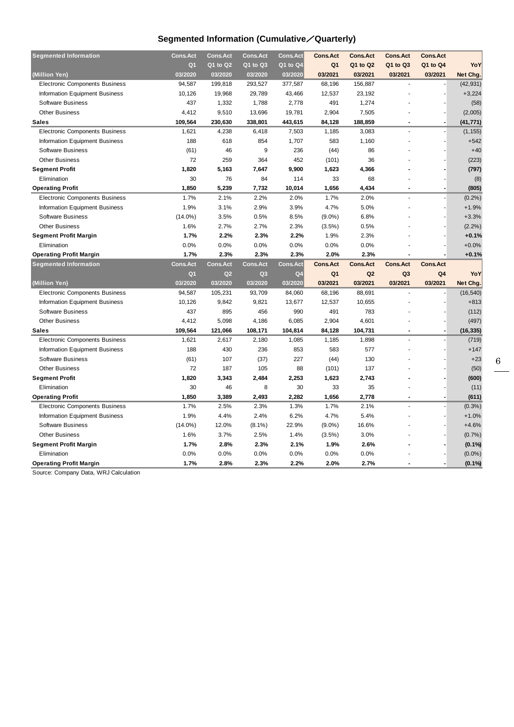### **Segmented Information (Cumulative**/**Quarterly)**

| <b>Segmented Information</b>          | <b>Cons.Act</b> | <b>Cons.Act</b> | <b>Cons.Act</b> | <b>Cons.Act</b> | <b>Cons.Act</b> | <b>Cons.Act</b> | <b>Cons.Act</b> | <b>Cons.Act</b> |           |
|---------------------------------------|-----------------|-----------------|-----------------|-----------------|-----------------|-----------------|-----------------|-----------------|-----------|
|                                       | Q <sub>1</sub>  | Q1 to Q2        | Q1 to Q3        | Q1 to Q4        | Q <sub>1</sub>  | Q1 to Q2        | Q1 to Q3        | Q1 to Q4        | YoY       |
| (Million Yen)                         | 03/2020         | 03/2020         | 03/2020         | 03/2020         | 03/2021         | 03/2021         | 03/2021         | 03/2021         | Net Chg.  |
| <b>Electronic Components Business</b> | 94,587          | 199,818         | 293,527         | 377,587         | 68,196          | 156,887         |                 |                 | (42, 931) |
| Information Equipment Business        | 10,126          | 19,968          | 29,789          | 43,466          | 12,537          | 23,192          |                 |                 | $+3,224$  |
| <b>Software Business</b>              | 437             | 1,332           | 1,788           | 2,778           | 491             | 1,274           |                 |                 | (58)      |
| <b>Other Business</b>                 | 4,412           | 9,510           | 13,696          | 19,781          | 2,904           | 7,505           |                 |                 | (2,005)   |
| <b>Sales</b>                          | 109,564         | 230,630         | 338,801         | 443,615         | 84,128          | 188,859         |                 |                 | (41, 771) |
| <b>Electronic Components Business</b> | 1,621           | 4,238           | 6,418           | 7,503           | 1,185           | 3,083           |                 |                 | (1, 155)  |
| <b>Information Equipment Business</b> | 188             | 618             | 854             | 1,707           | 583             | 1,160           |                 |                 | $+542$    |
| <b>Software Business</b>              | (61)            | 46              | 9               | 236             | (44)            | 86              |                 |                 | $+40$     |
| <b>Other Business</b>                 | 72              | 259             | 364             | 452             | (101)           | 36              |                 |                 | (223)     |
| <b>Segment Profit</b>                 | 1,820           | 5,163           | 7,647           | 9,900           | 1,623           | 4,366           |                 |                 | (797)     |
| Elimination                           | 30              | 76              | 84              | 114             | 33              | 68              |                 |                 | (8)       |
| <b>Operating Profit</b>               | 1,850           | 5,239           | 7,732           | 10,014          | 1,656           | 4,434           |                 |                 | (805)     |
| <b>Electronic Components Business</b> | 1.7%            | 2.1%            | 2.2%            | 2.0%            | 1.7%            | 2.0%            |                 |                 | (0.2%)    |
| <b>Information Equipment Business</b> | 1.9%            | 3.1%            | 2.9%            | 3.9%            | 4.7%            | 5.0%            |                 |                 | $+1.9%$   |
| <b>Software Business</b>              | $(14.0\%)$      | 3.5%            | 0.5%            | 8.5%            | $(9.0\%)$       | 6.8%            |                 |                 | $+3.3%$   |
| <b>Other Business</b>                 | 1.6%            | 2.7%            | 2.7%            | 2.3%            | (3.5%)          | 0.5%            |                 |                 | (2.2%)    |
| <b>Segment Profit Margin</b>          | 1.7%            | 2.2%            | 2.3%            | 2.2%            | 1.9%            | 2.3%            |                 |                 | $+0.1%$   |
| Elimination                           | 0.0%            | 0.0%            | 0.0%            | 0.0%            | 0.0%            | 0.0%            |                 |                 | $+0.0%$   |
| <b>Operating Profit Margin</b>        | 1.7%            | 2.3%            | 2.3%            | 2.3%            | 2.0%            | 2.3%            |                 |                 | $+0.1%$   |
| <b>Segmented Information</b>          | <b>Cons.Act</b> | <b>Cons.Act</b> | <b>Cons.Act</b> | <b>Cons.Act</b> | <b>Cons.Act</b> | <b>Cons.Act</b> | <b>Cons.Act</b> | <b>Cons.Act</b> |           |
|                                       | Q <sub>1</sub>  | Q <sub>2</sub>  | Q <sub>3</sub>  | Q <sub>4</sub>  | Q <sub>1</sub>  | Q2              | Q <sub>3</sub>  | Q4              | YoY       |
| (Million Yen)                         | 03/2020         | 03/2020         | 03/2020         | 03/2020         | 03/2021         | 03/2021         | 03/2021         | 03/2021         | Net Chg.  |
| <b>Electronic Components Business</b> | 94,587          | 105,231         | 93,709          | 84,060          | 68,196          | 88,691          |                 |                 | (16, 540) |
| <b>Information Equipment Business</b> | 10,126          | 9,842           | 9,821           | 13,677          | 12,537          | 10,655          |                 |                 | $+813$    |
| Software Business                     | 437             | 895             | 456             | 990             | 491             | 783             |                 |                 | (112)     |
| <b>Other Business</b>                 | 4,412           | 5,098           | 4,186           | 6,085           | 2,904           | 4,601           |                 |                 | (497)     |
| <b>Sales</b>                          | 109,564         | 121,066         | 108,171         | 104,814         | 84,128          | 104,731         | $\overline{a}$  | $\blacksquare$  | (16, 335) |
| <b>Electronic Components Business</b> | 1,621           | 2,617           | 2,180           | 1,085           | 1,185           | 1,898           |                 |                 | (719)     |
| Information Equipment Business        | 188             | 430             | 236             | 853             | 583             | 577             |                 |                 | $+147$    |
| <b>Software Business</b>              | (61)            | 107             | (37)            | 227             | (44)            | 130             |                 |                 | $+23$     |
| <b>Other Business</b>                 | 72              | 187             | 105             | 88              | (101)           | 137             |                 |                 | (50)      |
| <b>Segment Profit</b>                 |                 |                 |                 |                 |                 |                 |                 |                 |           |
| Elimination                           | 1,820           | 3,343           | 2,484           | 2,253           | 1,623           | 2,743           |                 |                 | (600)     |
|                                       | 30              | 46              | 8               | 30              | 33              | 35              |                 |                 | (11)      |
| <b>Operating Profit</b>               | 1,850           | 3,389           | 2,493           | 2,282           | 1,656           | 2,778           |                 |                 | (611)     |
| <b>Electronic Components Business</b> | 1.7%            | 2.5%            | 2.3%            | 1.3%            | 1.7%            | 2.1%            | ä,              |                 | $(0.3\%)$ |
| Information Equipment Business        | 1.9%            | 4.4%            | 2.4%            | 6.2%            | 4.7%            | 5.4%            |                 |                 | $+1.0%$   |
| <b>Software Business</b>              | $(14.0\%)$      | 12.0%           | $(8.1\%)$       | 22.9%           | $(9.0\%)$       | 16.6%           |                 |                 | $+4.6%$   |
| <b>Other Business</b>                 | 1.6%            | 3.7%            | 2.5%            | 1.4%            | (3.5%)          | 3.0%            |                 |                 | (0.7%     |
| <b>Segment Profit Margin</b>          | 1.7%            | 2.8%            | 2.3%            | 2.1%            | 1.9%            | 2.6%            |                 |                 | $(0.1\%)$ |
| Elimination                           | 0.0%            | 0.0%            | 0.0%            | 0.0%            | 0.0%            | 0.0%            |                 |                 | $(0.0\%)$ |

Source: Company Data, WRJ Calculation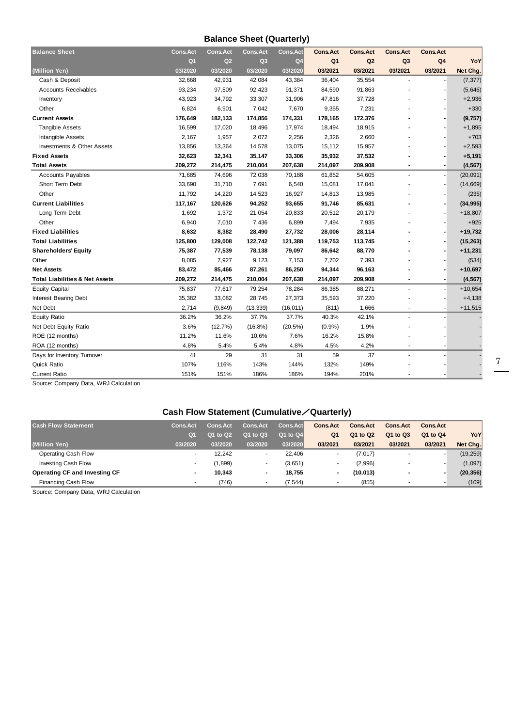#### **Balance Sheet (Quarterly)**

| <b>Balance Sheet</b>                      | <b>Cons.Act</b> | <b>Cons.Act</b> | <b>Cons.Act</b> | <b>Cons.Act</b> | <b>Cons.Act</b> | <b>Cons.Act</b> | <b>Cons.Act</b> | <b>Cons.Act</b> |            |
|-------------------------------------------|-----------------|-----------------|-----------------|-----------------|-----------------|-----------------|-----------------|-----------------|------------|
|                                           | Q <sub>1</sub>  | Q <sub>2</sub>  | Q <sub>3</sub>  | Q <sub>4</sub>  | Q <sub>1</sub>  | Q2              | Q <sub>3</sub>  | Q <sub>4</sub>  | <b>YoY</b> |
| (Million Yen)                             | 03/2020         | 03/2020         | 03/2020         | 03/2020         | 03/2021         | 03/2021         | 03/2021         | 03/2021         | Net Chg.   |
| Cash & Deposit                            | 32,668          | 42,931          | 42,084          | 43,384          | 36,404          | 35,554          |                 |                 | (7, 377)   |
| <b>Accounts Receivables</b>               | 93,234          | 97,509          | 92,423          | 91,371          | 84,590          | 91,863          |                 |                 | (5,646)    |
| Inventory                                 | 43,923          | 34,792          | 33,307          | 31,906          | 47,816          | 37,728          |                 |                 | $+2,936$   |
| Other                                     | 6,824           | 6,901           | 7,042           | 7,670           | 9,355           | 7,231           |                 |                 | $+330$     |
| <b>Current Assets</b>                     | 176,649         | 182,133         | 174,856         | 174,331         | 178,165         | 172,376         |                 |                 | (9, 757)   |
| <b>Tangible Assets</b>                    | 16,599          | 17,020          | 18,496          | 17,974          | 18,494          | 18,915          |                 |                 | $+1,895$   |
| Intangible Assets                         | 2,167           | 1,957           | 2,072           | 2,256           | 2,326           | 2,660           |                 |                 | $+703$     |
| Investments & Other Assets                | 13,856          | 13,364          | 14,578          | 13,075          | 15,112          | 15,957          |                 |                 | $+2,593$   |
| <b>Fixed Assets</b>                       | 32,623          | 32,341          | 35,147          | 33,306          | 35,932          | 37,532          |                 |                 | $+5,191$   |
| <b>Total Assets</b>                       | 209,272         | 214,475         | 210,004         | 207,638         | 214,097         | 209,908         |                 |                 | (4, 567)   |
| Accounts Payables                         | 71,685          | 74,696          | 72,038          | 70,188          | 61,852          | 54,605          |                 |                 | (20,091)   |
| Short Term Debt                           | 33,690          | 31,710          | 7,691           | 6,540           | 15,081          | 17,041          |                 |                 | (14, 669)  |
| Other                                     | 11,792          | 14,220          | 14,523          | 16,927          | 14,813          | 13,985          |                 |                 | (235)      |
| <b>Current Liabilities</b>                | 117,167         | 120,626         | 94,252          | 93,655          | 91,746          | 85,631          |                 |                 | (34, 995)  |
| Long Term Debt                            | 1,692           | 1,372           | 21,054          | 20,833          | 20,512          | 20,179          |                 |                 | $+18,807$  |
| Other                                     | 6,940           | 7,010           | 7,436           | 6,899           | 7,494           | 7,935           |                 |                 | $+925$     |
| <b>Fixed Liabilities</b>                  | 8,632           | 8,382           | 28,490          | 27,732          | 28,006          | 28,114          |                 |                 | $+19,732$  |
| <b>Total Liabilities</b>                  | 125,800         | 129,008         | 122,742         | 121,388         | 119,753         | 113,745         |                 |                 | (15, 263)  |
| <b>Shareholders' Equity</b>               | 75,387          | 77,539          | 78,138          | 79,097          | 86,642          | 88,770          |                 |                 | $+11,231$  |
| Other                                     | 8,085           | 7,927           | 9,123           | 7,153           | 7,702           | 7,393           |                 |                 | (534)      |
| <b>Net Assets</b>                         | 83,472          | 85,466          | 87,261          | 86,250          | 94,344          | 96,163          |                 |                 | $+10,697$  |
| <b>Total Liabilities &amp; Net Assets</b> | 209,272         | 214,475         | 210,004         | 207,638         | 214,097         | 209,908         |                 |                 | (4, 567)   |
| <b>Equity Capital</b>                     | 75,837          | 77,617          | 79,254          | 78,284          | 86,385          | 88,271          | ٠               |                 | $+10,654$  |
| <b>Interest Bearing Debt</b>              | 35,382          | 33,082          | 28,745          | 27,373          | 35,593          | 37,220          |                 |                 | $+4,138$   |
| Net Debt                                  | 2,714           | (9, 849)        | (13, 339)       | (16, 011)       | (811)           | 1,666           |                 |                 | $+11,515$  |
| <b>Equity Ratio</b>                       | 36.2%           | 36.2%           | 37.7%           | 37.7%           | 40.3%           | 42.1%           |                 |                 |            |
| Net Debt Equity Ratio                     | 3.6%            | (12.7%)         | $(16.8\%)$      | (20.5%)         | (0.9%           | 1.9%            |                 |                 |            |
| ROE (12 months)                           | 11.2%           | 11.6%           | 10.6%           | 7.6%            | 16.2%           | 15.8%           |                 |                 |            |
| ROA (12 months)                           | 4.8%            | 5.4%            | 5.4%            | 4.8%            | 4.5%            | 4.2%            |                 |                 |            |
| Days for Inventory Turnover               | 41              | 29              | 31              | 31              | 59              | 37              |                 |                 |            |
| Quick Ratio                               | 107%            | 116%            | 143%            | 144%            | 132%            | 149%            |                 |                 |            |
| <b>Current Ratio</b>                      | 151%            | 151%            | 186%            | 186%            | 194%            | 201%            |                 |                 |            |

Source: Company Data, WRJ Calculation

### **Cash Flow Statement (Cumulative**/**Quarterly)**

| <b>Cons.Act</b> | <b>Cons.Act</b> | <b>Cons.Act</b> | <b>Cons.Act</b> | <b>Cons.Act</b> | <b>Cons.Act</b> | <b>Cons.Act</b>          | <b>Cons.Act</b>          |           |
|-----------------|-----------------|-----------------|-----------------|-----------------|-----------------|--------------------------|--------------------------|-----------|
| Q <sub>1</sub>  | Q1 to Q2        | Q1 to Q3        | Q1 to Q4        | Q <sub>1</sub>  | Q1 to Q2        | Q1 to Q3                 | Q1 to Q4                 | YoY       |
| 03/2020         | 03/2020         | 03/2020         | 03/2020         | 03/2021         | 03/2021         | 03/2021                  | 03/2021                  | Net Chg.  |
|                 | 12.242          | ۰               | 22.406          | ۰               | (7,017)         |                          | $\overline{\phantom{a}}$ | (19, 259) |
|                 | (1,899)         | ۰               | (3,651)         | ۰               | (2,996)         | $\overline{\phantom{a}}$ |                          | (1,097)   |
|                 | 10.343          | $\blacksquare$  | 18.755          | $\blacksquare$  | (10, 013)       |                          |                          | (20, 356) |
|                 | (746)           | ۰               | (7,544)         | -               | (855)           |                          |                          | (109)     |
|                 |                 |                 |                 |                 |                 |                          |                          |           |

Source: Company Data, WRJ Calculation